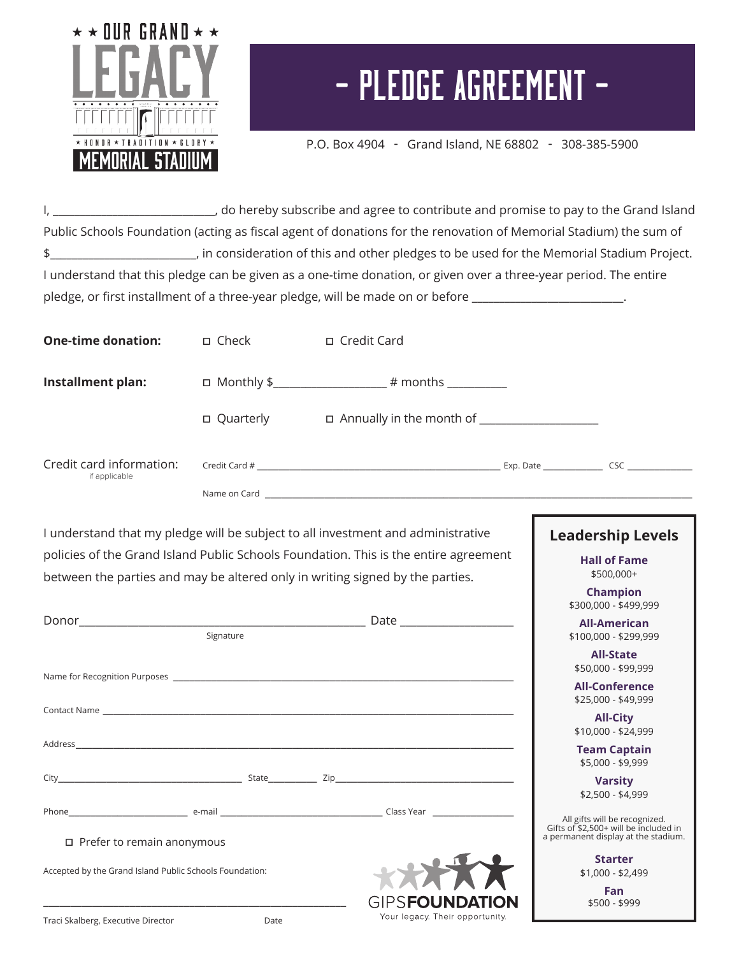

## - Pledge Agreement -

P.O. Box 4904 - Grand Island, NE 68802 - 308-385-5900

I, \_\_\_\_\_\_\_\_\_\_\_\_\_\_\_\_\_\_\_\_\_\_\_\_\_\_\_\_\_, do hereby subscribe and agree to contribute and promise to pay to the Grand Island Public Schools Foundation (acting as fiscal agent of donations for the renovation of Memorial Stadium) the sum of \$\_\_\_\_\_\_\_\_\_\_\_\_\_\_\_\_\_\_\_\_\_\_\_\_\_\_\_, in consideration of this and other pledges to be used for the Memorial Stadium Project. I understand that this pledge can be given as a one-time donation, or given over a three-year period. The entire pledge, or first installment of a three-year pledge, will be made on or before \_\_\_\_\_\_\_\_\_\_\_\_\_\_\_\_\_\_\_\_\_\_\_\_\_\_\_\_\_\_\_

| <b>One-time donation:</b>                                                                    | □ Check     | □ Credit Card                                                                                                                                                                                                                  |                                                                                                               |
|----------------------------------------------------------------------------------------------|-------------|--------------------------------------------------------------------------------------------------------------------------------------------------------------------------------------------------------------------------------|---------------------------------------------------------------------------------------------------------------|
| Installment plan:                                                                            |             |                                                                                                                                                                                                                                |                                                                                                               |
|                                                                                              | □ Quarterly | □ Annually in the month of ____________________                                                                                                                                                                                |                                                                                                               |
| Credit card information:<br>if applicable                                                    |             |                                                                                                                                                                                                                                |                                                                                                               |
|                                                                                              |             |                                                                                                                                                                                                                                |                                                                                                               |
|                                                                                              |             | I understand that my pledge will be subject to all investment and administrative<br>policies of the Grand Island Public Schools Foundation. This is the entire agreement                                                       | <b>Leadership Levels</b><br><b>Hall of Fame</b>                                                               |
|                                                                                              |             | between the parties and may be altered only in writing signed by the parties.                                                                                                                                                  | \$500,000+<br><b>Champion</b><br>\$300,000 - \$499,999                                                        |
|                                                                                              | Signature   |                                                                                                                                                                                                                                | <b>All-American</b><br>\$100,000 - \$299,999                                                                  |
|                                                                                              |             |                                                                                                                                                                                                                                | <b>All-State</b><br>\$50,000 - \$99,999<br><b>All-Conference</b>                                              |
|                                                                                              |             | Contact Name and the contract of the contract of the contract of the contract Name of the contract Name of the contract of the contract of the contract of the contract of the contract of the contract of the contract of the | \$25,000 - \$49,999<br><b>All-City</b>                                                                        |
|                                                                                              |             | Address and the contract of the contract of the contract of the contract of the contract of the contract of the contract of the contract of the contract of the contract of the contract of the contract of the contract of th | \$10,000 - \$24,999<br><b>Team Captain</b><br>\$5,000 - \$9,999                                               |
|                                                                                              |             |                                                                                                                                                                                                                                | <b>Varsity</b><br>\$2,500 - \$4,999                                                                           |
|                                                                                              |             |                                                                                                                                                                                                                                | All gifts will be recognized.<br>Gifts of \$2,500+ will be included in<br>a permanent display at the stadium. |
| $\Box$ Prefer to remain anonymous<br>Accepted by the Grand Island Public Schools Foundation: |             |                                                                                                                                                                                                                                | <b>Starter</b><br>$$1,000 - $2,499$<br>Fan<br>$$500 - $999$                                                   |
| Traci Skalberg, Executive Director                                                           | Date        | Your legacy. Their opportunity.                                                                                                                                                                                                |                                                                                                               |